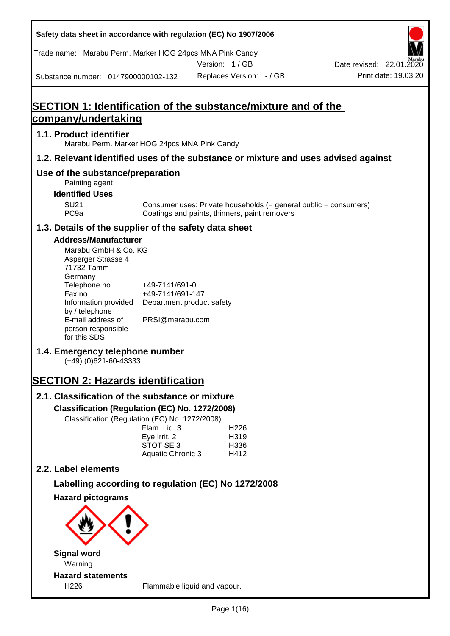Trade name: Marabu Perm. Marker HOG 24pcs MNA Pink Candy

Version: 1 / GB



Substance number: 0147900000102-132

# **SECTION 1: Identification of the substance/mixture and of the company/undertaking**

## **1.1. Product identifier**

Marabu Perm. Marker HOG 24pcs MNA Pink Candy

## **1.2. Relevant identified uses of the substance or mixture and uses advised against**

## **Use of the substance/preparation**

- Painting agent
- **Identified Uses**

SU21 Consumer uses: Private households (= general public = consumers)<br>PC9a Coatings and paints, thinners, paint removers Coatings and paints, thinners, paint removers

## **1.3. Details of the supplier of the safety data sheet**

## **Address/Manufacturer**

| Marabu GmbH & Co. KG |                           |
|----------------------|---------------------------|
| Asperger Strasse 4   |                           |
| 71732 Tamm           |                           |
| Germany              |                           |
| Telephone no.        | +49-7141/691-0            |
| Fax no.              | +49-7141/691-147          |
| Information provided | Department product safety |
| by / telephone       |                           |
| E-mail address of    | PRSI@marabu.com           |
| person responsible   |                           |
| for this SDS         |                           |

## **1.4. Emergency telephone number**

(+49) (0)621-60-43333

# **SECTION 2: Hazards identification**

# **2.1. Classification of the substance or mixture**

**Classification (Regulation (EC) No. 1272/2008)**

Classification (Regulation (EC) No. 1272/2008)

| Flam. Liq. 3      | H <sub>226</sub>  |
|-------------------|-------------------|
| Eye Irrit. 2      | H <sub>3</sub> 19 |
| STOT SE 3         | H <sub>336</sub>  |
| Aquatic Chronic 3 | H412              |
|                   |                   |

## **2.2. Label elements**

## **Labelling according to regulation (EC) No 1272/2008**

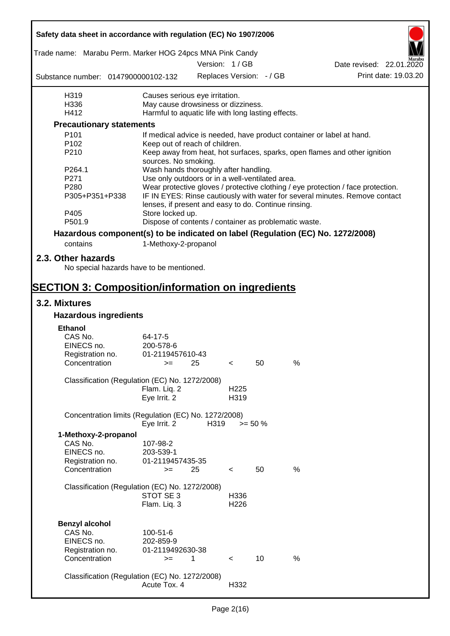| Safety data sheet in accordance with regulation (EC) No 1907/2006               |                                                       |      |                          |                 |      |                                                                                  |
|---------------------------------------------------------------------------------|-------------------------------------------------------|------|--------------------------|-----------------|------|----------------------------------------------------------------------------------|
| Trade name: Marabu Perm. Marker HOG 24pcs MNA Pink Candy                        |                                                       |      |                          |                 |      |                                                                                  |
|                                                                                 |                                                       |      | Version: 1 / GB          |                 |      | Date revised: 22.01.2020                                                         |
| Substance number: 0147900000102-132                                             |                                                       |      | Replaces Version: - / GB |                 |      | Print date: 19.03.20                                                             |
| H319                                                                            | Causes serious eye irritation.                        |      |                          |                 |      |                                                                                  |
| H336                                                                            | May cause drowsiness or dizziness.                    |      |                          |                 |      |                                                                                  |
| H412                                                                            | Harmful to aquatic life with long lasting effects.    |      |                          |                 |      |                                                                                  |
| <b>Precautionary statements</b>                                                 |                                                       |      |                          |                 |      |                                                                                  |
| P <sub>101</sub>                                                                |                                                       |      |                          |                 |      | If medical advice is needed, have product container or label at hand.            |
| P102                                                                            | Keep out of reach of children.                        |      |                          |                 |      |                                                                                  |
| P210                                                                            | sources. No smoking.                                  |      |                          |                 |      | Keep away from heat, hot surfaces, sparks, open flames and other ignition        |
| P264.1                                                                          | Wash hands thoroughly after handling.                 |      |                          |                 |      |                                                                                  |
| P271                                                                            | Use only outdoors or in a well-ventilated area.       |      |                          |                 |      |                                                                                  |
| P280                                                                            |                                                       |      |                          |                 |      | Wear protective gloves / protective clothing / eye protection / face protection. |
| P305+P351+P338                                                                  | lenses, if present and easy to do. Continue rinsing.  |      |                          |                 |      | IF IN EYES: Rinse cautiously with water for several minutes. Remove contact      |
| P405                                                                            | Store locked up.                                      |      |                          |                 |      |                                                                                  |
| P501.9                                                                          | Dispose of contents / container as problematic waste. |      |                          |                 |      |                                                                                  |
| Hazardous component(s) to be indicated on label (Regulation (EC) No. 1272/2008) |                                                       |      |                          |                 |      |                                                                                  |
| contains                                                                        | 1-Methoxy-2-propanol                                  |      |                          |                 |      |                                                                                  |
| 2.3. Other hazards<br>No special hazards have to be mentioned.                  |                                                       |      |                          |                 |      |                                                                                  |
| <b>SECTION 3: Composition/information on ingredients</b>                        |                                                       |      |                          |                 |      |                                                                                  |
| 3.2. Mixtures                                                                   |                                                       |      |                          |                 |      |                                                                                  |
| <b>Hazardous ingredients</b>                                                    |                                                       |      |                          |                 |      |                                                                                  |
| <b>Ethanol</b>                                                                  |                                                       |      |                          |                 |      |                                                                                  |
| CAS No.                                                                         | 64-17-5                                               |      |                          |                 |      |                                                                                  |
| EINECS no.                                                                      | 200-578-6                                             |      |                          |                 |      |                                                                                  |
| Registration no.                                                                | 01-2119457610-43                                      |      |                          |                 |      |                                                                                  |
| Concentration                                                                   | $>=$ 25                                               |      | $\epsilon$               | 50              | %    |                                                                                  |
|                                                                                 |                                                       |      |                          |                 |      |                                                                                  |
| Classification (Regulation (EC) No. 1272/2008)                                  |                                                       |      |                          |                 |      |                                                                                  |
|                                                                                 | Flam. Liq. 2                                          |      | H <sub>225</sub>         |                 |      |                                                                                  |
|                                                                                 | Eye Irrit. 2                                          |      | H319                     |                 |      |                                                                                  |
| Concentration limits (Regulation (EC) No. 1272/2008)                            | Eye Irrit. 2                                          | H319 |                          | $>= 50 \%$      |      |                                                                                  |
| 1-Methoxy-2-propanol                                                            |                                                       |      |                          |                 |      |                                                                                  |
| CAS No.                                                                         | 107-98-2                                              |      |                          |                 |      |                                                                                  |
| EINECS no.                                                                      | 203-539-1                                             |      |                          |                 |      |                                                                                  |
| Registration no.                                                                | 01-2119457435-35                                      |      |                          |                 |      |                                                                                  |
| Concentration                                                                   | $>=$                                                  | 25   | $\,<\,$                  | 50              | $\%$ |                                                                                  |
|                                                                                 |                                                       |      |                          |                 |      |                                                                                  |
| Classification (Regulation (EC) No. 1272/2008)                                  |                                                       |      |                          |                 |      |                                                                                  |
|                                                                                 | STOT SE 3                                             |      | H336                     |                 |      |                                                                                  |
|                                                                                 | Flam. Liq. 3                                          |      | H <sub>226</sub>         |                 |      |                                                                                  |
|                                                                                 |                                                       |      |                          |                 |      |                                                                                  |
| <b>Benzyl alcohol</b>                                                           |                                                       |      |                          |                 |      |                                                                                  |
| CAS No.                                                                         | 100-51-6                                              |      |                          |                 |      |                                                                                  |
| EINECS no.                                                                      | 202-859-9                                             |      |                          |                 |      |                                                                                  |
| Registration no.                                                                | 01-2119492630-38                                      |      |                          |                 |      |                                                                                  |
| Concentration                                                                   | $>=$                                                  | 1    | $\prec$                  | 10 <sup>1</sup> | %    |                                                                                  |
| Classification (Regulation (EC) No. 1272/2008)                                  |                                                       |      |                          |                 |      |                                                                                  |
|                                                                                 | Acute Tox. 4                                          |      | H332                     |                 |      |                                                                                  |
|                                                                                 |                                                       |      |                          |                 |      |                                                                                  |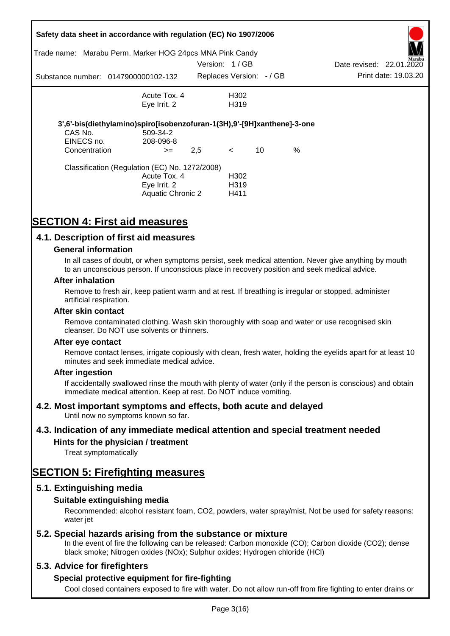| Trade name:                            | Safety data sheet in accordance with regulation (EC) No 1907/2006<br>Marabu Perm. Marker HOG 24pcs MNA Pink Candy |                         |                                               |    |      |                          |                      |
|----------------------------------------|-------------------------------------------------------------------------------------------------------------------|-------------------------|-----------------------------------------------|----|------|--------------------------|----------------------|
|                                        |                                                                                                                   | Version: 1/GB           |                                               |    |      | Date revised: 22.01.2020 | Marabu               |
|                                        | Substance number: 0147900000102-132                                                                               | Replaces Version: -/ GB |                                               |    |      |                          | Print date: 19.03.20 |
|                                        | Acute Tox. 4<br>Eye Irrit. 2                                                                                      |                         | H302<br>H <sub>3</sub> 19                     |    |      |                          |                      |
| CAS No.<br>EINECS no.<br>Concentration | 3',6'-bis(diethylamino)spiro[isobenzofuran-1(3H),9'-[9H]xanthene]-3-one<br>509-34-2<br>208-096-8<br>$>=$          | 2,5                     | $\lt$                                         | 10 | $\%$ |                          |                      |
|                                        | Classification (Regulation (EC) No. 1272/2008)<br>Acute Tox. 4<br>Eye Irrit. 2<br>Aquatic Chronic 2               |                         | H <sub>302</sub><br>H <sub>3</sub> 19<br>H411 |    |      |                          |                      |

# **SECTION 4: First aid measures**

## **4.1. Description of first aid measures**

#### **General information**

In all cases of doubt, or when symptoms persist, seek medical attention. Never give anything by mouth to an unconscious person. If unconscious place in recovery position and seek medical advice.

#### **After inhalation**

Remove to fresh air, keep patient warm and at rest. If breathing is irregular or stopped, administer artificial respiration.

#### **After skin contact**

Remove contaminated clothing. Wash skin thoroughly with soap and water or use recognised skin cleanser. Do NOT use solvents or thinners.

#### **After eye contact**

Remove contact lenses, irrigate copiously with clean, fresh water, holding the eyelids apart for at least 10 minutes and seek immediate medical advice.

#### **After ingestion**

If accidentally swallowed rinse the mouth with plenty of water (only if the person is conscious) and obtain immediate medical attention. Keep at rest. Do NOT induce vomiting.

## **4.2. Most important symptoms and effects, both acute and delayed**

Until now no symptoms known so far.

## **4.3. Indication of any immediate medical attention and special treatment needed**

## **Hints for the physician / treatment**

Treat symptomatically

## **SECTION 5: Firefighting measures**

## **5.1. Extinguishing media**

## **Suitable extinguishing media**

Recommended: alcohol resistant foam, CO2, powders, water spray/mist, Not be used for safety reasons: water *iet* 

## **5.2. Special hazards arising from the substance or mixture**

In the event of fire the following can be released: Carbon monoxide (CO); Carbon dioxide (CO2); dense black smoke; Nitrogen oxides (NOx); Sulphur oxides; Hydrogen chloride (HCl)

## **5.3. Advice for firefighters**

## **Special protective equipment for fire-fighting**

Cool closed containers exposed to fire with water. Do not allow run-off from fire fighting to enter drains or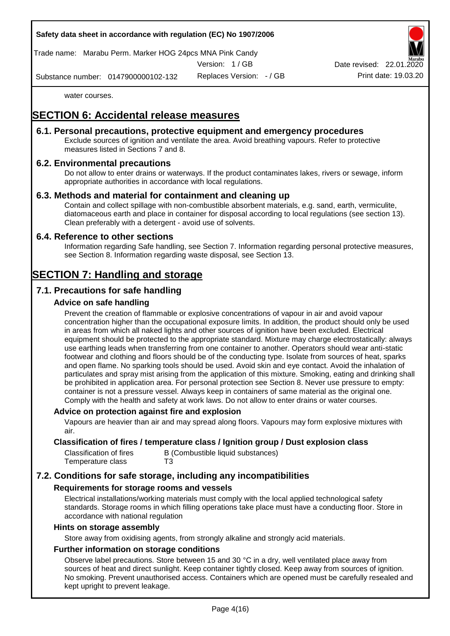

Trade name: Marabu Perm. Marker HOG 24pcs MNA Pink Candy

Version: 1 / GB

Replaces Version: - / GB Print date: 19.03.20 Date revised: 22.01.

Substance number: 0147900000102-132

water courses.

# **SECTION 6: Accidental release measures**

## **6.1. Personal precautions, protective equipment and emergency procedures**

Exclude sources of ignition and ventilate the area. Avoid breathing vapours. Refer to protective measures listed in Sections 7 and 8.

## **6.2. Environmental precautions**

Do not allow to enter drains or waterways. If the product contaminates lakes, rivers or sewage, inform appropriate authorities in accordance with local regulations.

## **6.3. Methods and material for containment and cleaning up**

Contain and collect spillage with non-combustible absorbent materials, e.g. sand, earth, vermiculite, diatomaceous earth and place in container for disposal according to local regulations (see section 13). Clean preferably with a detergent - avoid use of solvents.

## **6.4. Reference to other sections**

Information regarding Safe handling, see Section 7. Information regarding personal protective measures, see Section 8. Information regarding waste disposal, see Section 13.

# **SECTION 7: Handling and storage**

## **7.1. Precautions for safe handling**

## **Advice on safe handling**

Prevent the creation of flammable or explosive concentrations of vapour in air and avoid vapour concentration higher than the occupational exposure limits. In addition, the product should only be used in areas from which all naked lights and other sources of ignition have been excluded. Electrical equipment should be protected to the appropriate standard. Mixture may charge electrostatically: always use earthing leads when transferring from one container to another. Operators should wear anti-static footwear and clothing and floors should be of the conducting type. Isolate from sources of heat, sparks and open flame. No sparking tools should be used. Avoid skin and eye contact. Avoid the inhalation of particulates and spray mist arising from the application of this mixture. Smoking, eating and drinking shall be prohibited in application area. For personal protection see Section 8. Never use pressure to empty: container is not a pressure vessel. Always keep in containers of same material as the original one. Comply with the health and safety at work laws. Do not allow to enter drains or water courses.

## **Advice on protection against fire and explosion**

Vapours are heavier than air and may spread along floors. Vapours may form explosive mixtures with air.

#### **Classification of fires / temperature class / Ignition group / Dust explosion class**

| Classification of fires | B (Combustible liquid substances) |
|-------------------------|-----------------------------------|
| Temperature class       | T3                                |

## **7.2. Conditions for safe storage, including any incompatibilities**

## **Requirements for storage rooms and vessels**

Electrical installations/working materials must comply with the local applied technological safety standards. Storage rooms in which filling operations take place must have a conducting floor. Store in accordance with national regulation

#### **Hints on storage assembly**

Store away from oxidising agents, from strongly alkaline and strongly acid materials.

## **Further information on storage conditions**

Observe label precautions. Store between 15 and 30 °C in a dry, well ventilated place away from sources of heat and direct sunlight. Keep container tightly closed. Keep away from sources of ignition. No smoking. Prevent unauthorised access. Containers which are opened must be carefully resealed and kept upright to prevent leakage.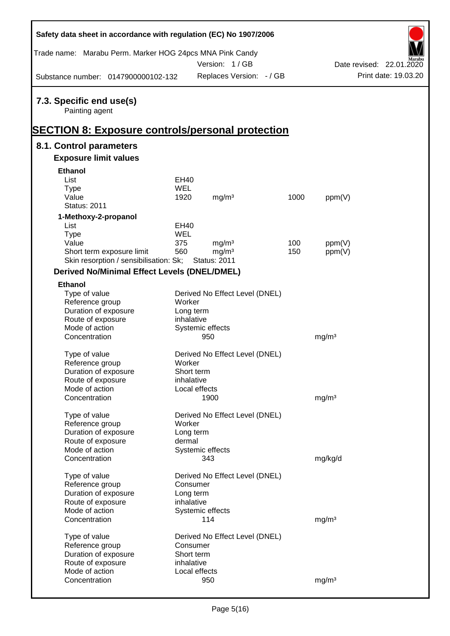| Safety data sheet in accordance with regulation (EC) No 1907/2006                                     |            |                                |      |                   |                          |
|-------------------------------------------------------------------------------------------------------|------------|--------------------------------|------|-------------------|--------------------------|
| Trade name: Marabu Perm. Marker HOG 24pcs MNA Pink Candy                                              |            | Version: 1/GB                  |      |                   | Date revised: 22.01.2020 |
| Substance number: 0147900000102-132                                                                   |            | Replaces Version: - / GB       |      |                   | Print date: 19.03.20     |
| 7.3. Specific end use(s)<br>Painting agent<br><b>SECTION 8: Exposure controls/personal protection</b> |            |                                |      |                   |                          |
| 8.1. Control parameters                                                                               |            |                                |      |                   |                          |
| <b>Exposure limit values</b>                                                                          |            |                                |      |                   |                          |
| <b>Ethanol</b>                                                                                        |            |                                |      |                   |                          |
| List                                                                                                  | EH40       |                                |      |                   |                          |
| <b>Type</b>                                                                                           | <b>WEL</b> |                                |      |                   |                          |
| Value                                                                                                 | 1920       | mg/m <sup>3</sup>              | 1000 | ppm(V)            |                          |
| <b>Status: 2011</b>                                                                                   |            |                                |      |                   |                          |
| 1-Methoxy-2-propanol                                                                                  |            |                                |      |                   |                          |
| List                                                                                                  | EH40       |                                |      |                   |                          |
| <b>Type</b>                                                                                           | WEL        |                                |      |                   |                          |
| Value                                                                                                 | 375        | mg/m <sup>3</sup>              | 100  | ppm(V)            |                          |
| Short term exposure limit                                                                             | 560        | mg/m <sup>3</sup>              | 150  | ppm(V)            |                          |
| Skin resorption / sensibilisation: Sk;                                                                |            | <b>Status: 2011</b>            |      |                   |                          |
| <b>Derived No/Minimal Effect Levels (DNEL/DMEL)</b>                                                   |            |                                |      |                   |                          |
| <b>Ethanol</b>                                                                                        |            |                                |      |                   |                          |
| Type of value                                                                                         |            | Derived No Effect Level (DNEL) |      |                   |                          |
| Reference group                                                                                       | Worker     |                                |      |                   |                          |
| Duration of exposure                                                                                  | Long term  |                                |      |                   |                          |
| Route of exposure                                                                                     | inhalative |                                |      |                   |                          |
| Mode of action                                                                                        |            | Systemic effects               |      |                   |                          |
| Concentration                                                                                         |            | 950                            |      | mg/m <sup>3</sup> |                          |
|                                                                                                       |            | Derived No Effect Level (DNEL) |      |                   |                          |
| Type of value<br>Reference group                                                                      | Worker     |                                |      |                   |                          |
| Duration of exposure                                                                                  | Short term |                                |      |                   |                          |
| Route of exposure                                                                                     | inhalative |                                |      |                   |                          |
| Mode of action                                                                                        |            | Local effects                  |      |                   |                          |
| Concentration                                                                                         |            | 1900                           |      | mg/m <sup>3</sup> |                          |
|                                                                                                       |            |                                |      |                   |                          |
| Type of value                                                                                         |            | Derived No Effect Level (DNEL) |      |                   |                          |
| Reference group                                                                                       | Worker     |                                |      |                   |                          |
| Duration of exposure                                                                                  | Long term  |                                |      |                   |                          |
| Route of exposure                                                                                     | dermal     |                                |      |                   |                          |
| Mode of action                                                                                        |            | Systemic effects               |      |                   |                          |
| Concentration                                                                                         |            | 343                            |      | mg/kg/d           |                          |
| Type of value                                                                                         |            | Derived No Effect Level (DNEL) |      |                   |                          |
| Reference group                                                                                       | Consumer   |                                |      |                   |                          |
| Duration of exposure                                                                                  | Long term  |                                |      |                   |                          |
| Route of exposure                                                                                     | inhalative |                                |      |                   |                          |
| Mode of action                                                                                        |            | Systemic effects               |      |                   |                          |
| Concentration                                                                                         |            | 114                            |      | mg/m <sup>3</sup> |                          |
|                                                                                                       |            |                                |      |                   |                          |
| Type of value                                                                                         |            | Derived No Effect Level (DNEL) |      |                   |                          |
| Reference group                                                                                       | Consumer   |                                |      |                   |                          |
| Duration of exposure                                                                                  | Short term |                                |      |                   |                          |
| Route of exposure<br>Mode of action                                                                   | inhalative | Local effects                  |      |                   |                          |
| Concentration                                                                                         |            | 950                            |      | mg/m <sup>3</sup> |                          |
|                                                                                                       |            |                                |      |                   |                          |

Ī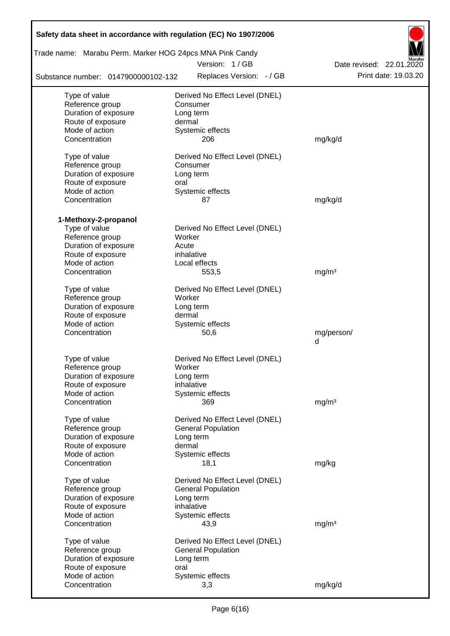| Safety data sheet in accordance with regulation (EC) No 1907/2006 |                                                             |                          |
|-------------------------------------------------------------------|-------------------------------------------------------------|--------------------------|
| Trade name: Marabu Perm. Marker HOG 24pcs MNA Pink Candy          |                                                             |                          |
|                                                                   | Version: 1/GB                                               | Date revised: 22.01.2020 |
| Substance number: 0147900000102-132                               | Replaces Version: - / GB                                    | Print date: 19.03.20     |
| Type of value                                                     | Derived No Effect Level (DNEL)                              |                          |
| Reference group                                                   | Consumer                                                    |                          |
| Duration of exposure                                              | Long term                                                   |                          |
| Route of exposure                                                 | dermal                                                      |                          |
| Mode of action                                                    | Systemic effects                                            |                          |
| Concentration                                                     | 206                                                         | mg/kg/d                  |
| Type of value                                                     | Derived No Effect Level (DNEL)                              |                          |
| Reference group                                                   | Consumer                                                    |                          |
| Duration of exposure                                              | Long term                                                   |                          |
| Route of exposure                                                 | oral                                                        |                          |
| Mode of action                                                    | Systemic effects                                            |                          |
| Concentration                                                     | 87                                                          | mg/kg/d                  |
|                                                                   |                                                             |                          |
| 1-Methoxy-2-propanol<br>Type of value                             | Derived No Effect Level (DNEL)                              |                          |
| Reference group                                                   | Worker                                                      |                          |
| Duration of exposure                                              | Acute                                                       |                          |
| Route of exposure                                                 | inhalative                                                  |                          |
| Mode of action                                                    | Local effects                                               |                          |
| Concentration                                                     | 553,5                                                       | mg/m <sup>3</sup>        |
|                                                                   |                                                             |                          |
| Type of value                                                     | Derived No Effect Level (DNEL)                              |                          |
| Reference group                                                   | Worker                                                      |                          |
| Duration of exposure                                              | Long term                                                   |                          |
| Route of exposure                                                 | dermal                                                      |                          |
| Mode of action                                                    | Systemic effects                                            |                          |
| Concentration                                                     | 50,6                                                        | mg/person/<br>d          |
|                                                                   |                                                             |                          |
| Type of value                                                     | Derived No Effect Level (DNEL)                              |                          |
| Reference group                                                   | Worker                                                      |                          |
| Duration of exposure                                              | Long term                                                   |                          |
| Route of exposure                                                 | inhalative                                                  |                          |
| Mode of action                                                    | Systemic effects                                            |                          |
| Concentration                                                     | 369                                                         | mg/m <sup>3</sup>        |
| Type of value                                                     | Derived No Effect Level (DNEL)                              |                          |
| Reference group                                                   | <b>General Population</b>                                   |                          |
| Duration of exposure                                              | Long term                                                   |                          |
| Route of exposure                                                 | dermal                                                      |                          |
| Mode of action                                                    | Systemic effects                                            |                          |
| Concentration                                                     | 18,1                                                        | mg/kg                    |
|                                                                   |                                                             |                          |
| Type of value<br>Reference group                                  | Derived No Effect Level (DNEL)<br><b>General Population</b> |                          |
| Duration of exposure                                              | Long term                                                   |                          |
| Route of exposure                                                 | inhalative                                                  |                          |
| Mode of action                                                    | Systemic effects                                            |                          |
| Concentration                                                     | 43,9                                                        | mg/m <sup>3</sup>        |
|                                                                   |                                                             |                          |
| Type of value                                                     | Derived No Effect Level (DNEL)                              |                          |
| Reference group                                                   | <b>General Population</b>                                   |                          |
| Duration of exposure                                              | Long term                                                   |                          |
| Route of exposure<br>Mode of action                               | oral<br>Systemic effects                                    |                          |
| Concentration                                                     | 3,3                                                         | mg/kg/d                  |
|                                                                   |                                                             |                          |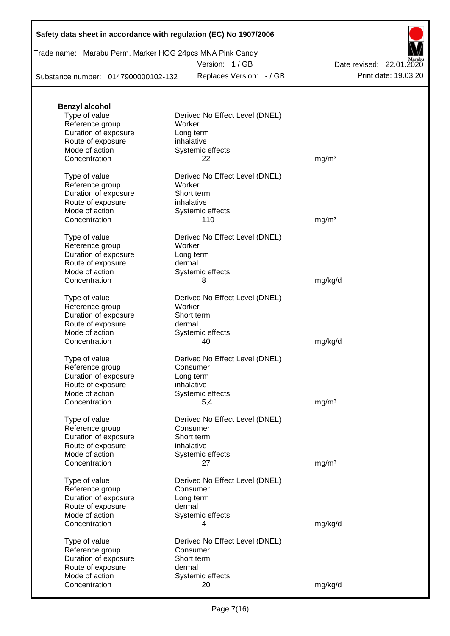Trade name: Marabu Perm. Marker HOG 24pcs MNA Pink Candy

Version: 1 / GB

Substance number: 0147900000102-132

Replaces Version: - / GB Print date: 19.03.20 Date revised: 22.01.2020

| <b>Benzyl alcohol</b>               |                                |                   |
|-------------------------------------|--------------------------------|-------------------|
| Type of value                       | Derived No Effect Level (DNEL) |                   |
| Reference group                     | Worker                         |                   |
| Duration of exposure                | Long term                      |                   |
| Route of exposure                   | inhalative                     |                   |
| Mode of action                      | Systemic effects               |                   |
| Concentration                       | 22                             | mg/m <sup>3</sup> |
|                                     |                                |                   |
| Type of value                       | Derived No Effect Level (DNEL) |                   |
| Reference group                     | Worker                         |                   |
| Duration of exposure                | Short term                     |                   |
| Route of exposure                   | inhalative                     |                   |
| Mode of action                      | Systemic effects               |                   |
| Concentration                       | 110                            | mg/m <sup>3</sup> |
| Type of value                       | Derived No Effect Level (DNEL) |                   |
| Reference group                     | Worker                         |                   |
| Duration of exposure                | Long term                      |                   |
| Route of exposure                   | dermal                         |                   |
| Mode of action                      | Systemic effects               |                   |
| Concentration                       | 8                              | mg/kg/d           |
|                                     |                                |                   |
| Type of value                       | Derived No Effect Level (DNEL) |                   |
| Reference group                     | Worker                         |                   |
| Duration of exposure                | Short term                     |                   |
| Route of exposure                   | dermal                         |                   |
| Mode of action                      | Systemic effects               |                   |
| Concentration                       | 40                             | mg/kg/d           |
|                                     |                                |                   |
| Type of value                       | Derived No Effect Level (DNEL) |                   |
| Reference group                     | Consumer                       |                   |
| Duration of exposure                | Long term                      |                   |
| Route of exposure                   | inhalative                     |                   |
| Mode of action                      | Systemic effects               |                   |
| Concentration                       | 5,4                            | mg/m <sup>3</sup> |
| Type of value                       | Derived No Effect Level (DNEL) |                   |
| Reference group                     | Consumer                       |                   |
| Duration of exposure                | Short term                     |                   |
| Route of exposure                   | inhalative                     |                   |
| Mode of action                      | Systemic effects               |                   |
| Concentration                       | 27                             | mg/m <sup>3</sup> |
|                                     |                                |                   |
| Type of value                       | Derived No Effect Level (DNEL) |                   |
| Reference group                     | Consumer                       |                   |
| Duration of exposure                | Long term                      |                   |
| Route of exposure                   | dermal                         |                   |
| Mode of action                      | Systemic effects               |                   |
| Concentration                       | 4                              | mg/kg/d           |
| Type of value                       | Derived No Effect Level (DNEL) |                   |
| Reference group                     | Consumer                       |                   |
| Duration of exposure                | Short term                     |                   |
|                                     | dermal                         |                   |
| Route of exposure<br>Mode of action |                                |                   |
|                                     | Systemic effects               |                   |
| Concentration                       | 20                             | mg/kg/d           |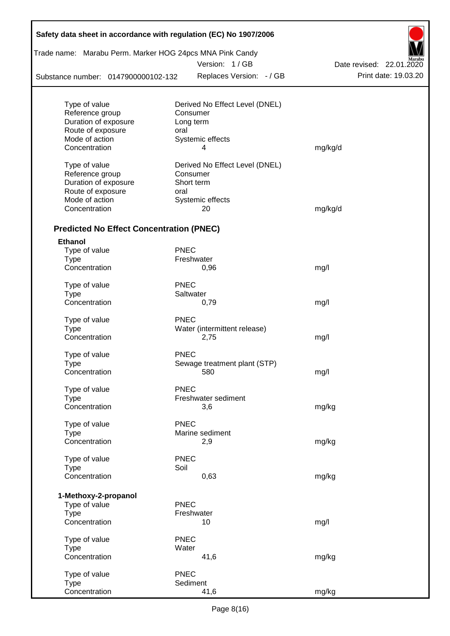| Trade name: Marabu Perm. Marker HOG 24pcs MNA Pink Candy |             | Version: 1/GB                  | Date revised: 22.01.2020 |
|----------------------------------------------------------|-------------|--------------------------------|--------------------------|
| Substance number: 0147900000102-132                      |             | Replaces Version: - / GB       | Print date: 19.03.20     |
|                                                          |             |                                |                          |
| Type of value                                            |             | Derived No Effect Level (DNEL) |                          |
| Reference group                                          |             | Consumer                       |                          |
| Duration of exposure                                     |             | Long term                      |                          |
| Route of exposure                                        | oral        |                                |                          |
| Mode of action<br>Concentration                          |             | Systemic effects<br>4          | mg/kg/d                  |
|                                                          |             |                                |                          |
| Type of value                                            |             | Derived No Effect Level (DNEL) |                          |
| Reference group                                          |             | Consumer                       |                          |
| Duration of exposure                                     |             | Short term                     |                          |
| Route of exposure                                        | oral        |                                |                          |
| Mode of action                                           |             | Systemic effects               |                          |
| Concentration                                            |             | 20                             | mg/kg/d                  |
| <b>Predicted No Effect Concentration (PNEC)</b>          |             |                                |                          |
| <b>Ethanol</b>                                           |             |                                |                          |
| Type of value                                            | <b>PNEC</b> |                                |                          |
| Type                                                     |             | Freshwater                     |                          |
| Concentration                                            |             | 0,96                           | mg/l                     |
| Type of value                                            | <b>PNEC</b> |                                |                          |
| <b>Type</b>                                              |             | Saltwater                      |                          |
| Concentration                                            |             | 0,79                           | mg/l                     |
| Type of value                                            | <b>PNEC</b> |                                |                          |
| <b>Type</b>                                              |             | Water (intermittent release)   |                          |
| Concentration                                            |             | 2,75                           | mg/l                     |
| Type of value                                            | <b>PNEC</b> |                                |                          |
| Type                                                     |             | Sewage treatment plant (STP)   |                          |
| Concentration                                            |             | 580                            | mg/l                     |
|                                                          |             |                                |                          |
| Type of value                                            | <b>PNEC</b> |                                |                          |
| <b>Type</b><br>Concentration                             |             | Freshwater sediment            |                          |
|                                                          |             | 3,6                            | mg/kg                    |
| Type of value                                            | <b>PNEC</b> |                                |                          |
| <b>Type</b>                                              |             | Marine sediment                |                          |
| Concentration                                            |             | 2,9                            | mg/kg                    |
| Type of value                                            | <b>PNEC</b> |                                |                          |
| <b>Type</b>                                              | Soil        |                                |                          |
| Concentration                                            |             | 0,63                           | mg/kg                    |
|                                                          |             |                                |                          |
| 1-Methoxy-2-propanol<br>Type of value                    | <b>PNEC</b> |                                |                          |
| <b>Type</b>                                              |             | Freshwater                     |                          |
| Concentration                                            |             | 10                             | mg/l                     |
| Type of value                                            | <b>PNEC</b> |                                |                          |
| <b>Type</b>                                              | Water       |                                |                          |
| Concentration                                            |             | 41,6                           | mg/kg                    |
|                                                          |             |                                |                          |
| Type of value<br><b>Type</b>                             | <b>PNEC</b> | Sediment                       |                          |
| Concentration                                            |             | 41,6                           | mg/kg                    |
|                                                          |             |                                |                          |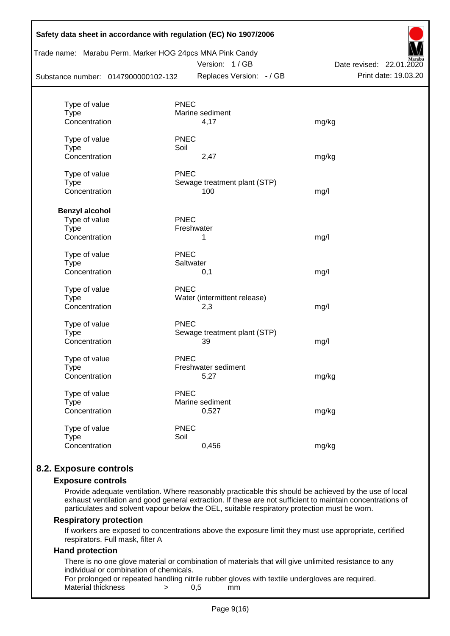|                                     |             | Trade name: Marabu Perm. Marker HOG 24pcs MNA Pink Candy<br>Version: 1/GB | Date revised: 22.01.2020 |
|-------------------------------------|-------------|---------------------------------------------------------------------------|--------------------------|
| Substance number: 0147900000102-132 |             | Replaces Version: - / GB                                                  | Print date: 19.03.20     |
| Type of value                       | <b>PNEC</b> |                                                                           |                          |
| <b>Type</b>                         |             | Marine sediment                                                           |                          |
| Concentration                       |             | 4,17                                                                      | mg/kg                    |
| Type of value                       | <b>PNEC</b> |                                                                           |                          |
| <b>Type</b>                         | Soil        |                                                                           |                          |
| Concentration                       |             | 2,47                                                                      | mg/kg                    |
| Type of value                       | <b>PNEC</b> |                                                                           |                          |
| Type                                |             | Sewage treatment plant (STP)                                              |                          |
| Concentration                       |             | 100                                                                       | mg/l                     |
| <b>Benzyl alcohol</b>               |             |                                                                           |                          |
| Type of value                       | <b>PNEC</b> |                                                                           |                          |
| <b>Type</b>                         |             | Freshwater                                                                |                          |
| Concentration                       |             | 1                                                                         | mg/l                     |
| Type of value                       | <b>PNEC</b> |                                                                           |                          |
| <b>Type</b>                         | Saltwater   |                                                                           |                          |
| Concentration                       |             | 0,1                                                                       | mg/l                     |
| Type of value                       | <b>PNEC</b> |                                                                           |                          |
| <b>Type</b>                         |             | Water (intermittent release)                                              |                          |
| Concentration                       |             | 2,3                                                                       | mg/l                     |
| Type of value                       | <b>PNEC</b> |                                                                           |                          |
| <b>Type</b>                         |             | Sewage treatment plant (STP)                                              |                          |
| Concentration                       |             | 39                                                                        | mg/l                     |
| Type of value                       | <b>PNEC</b> |                                                                           |                          |
| Type                                |             | Freshwater sediment                                                       |                          |
| Concentration                       |             | 5,27                                                                      | mg/kg                    |
| Type of value                       | <b>PNEC</b> |                                                                           |                          |
| <b>Type</b>                         |             | Marine sediment                                                           |                          |
| Concentration                       |             | 0,527                                                                     | mg/kg                    |
| Type of value                       | <b>PNEC</b> |                                                                           |                          |
| <b>Type</b>                         | Soil        |                                                                           |                          |
| Concentration                       |             | 0,456                                                                     | mg/kg                    |

## **8.2. Exposure controls**

#### **Exposure controls**

Provide adequate ventilation. Where reasonably practicable this should be achieved by the use of local exhaust ventilation and good general extraction. If these are not sufficient to maintain concentrations of particulates and solvent vapour below the OEL, suitable respiratory protection must be worn.

#### **Respiratory protection**

If workers are exposed to concentrations above the exposure limit they must use appropriate, certified respirators. Full mask, filter A

#### **Hand protection**

There is no one glove material or combination of materials that will give unlimited resistance to any individual or combination of chemicals.

For prolonged or repeated handling nitrile rubber gloves with textile undergloves are required. Material thickness  $\rightarrow$  0.5 mm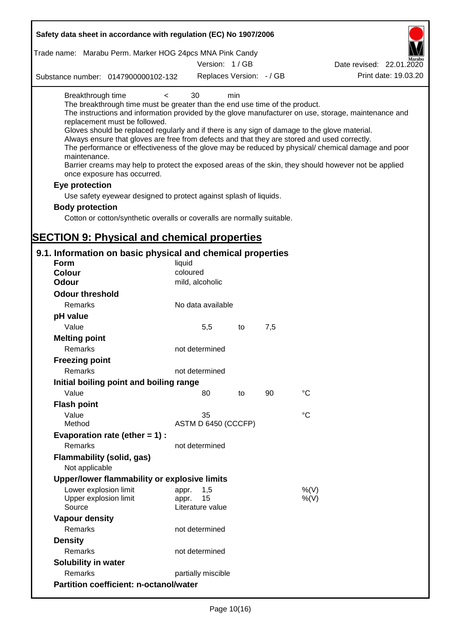| Safety data sheet in accordance with regulation (EC) No 1907/2006                                                                                                                                                                                                                                                                                                                                             |                                                 |     |     |                                                                                                                                                                                                                                                                                                                    |
|---------------------------------------------------------------------------------------------------------------------------------------------------------------------------------------------------------------------------------------------------------------------------------------------------------------------------------------------------------------------------------------------------------------|-------------------------------------------------|-----|-----|--------------------------------------------------------------------------------------------------------------------------------------------------------------------------------------------------------------------------------------------------------------------------------------------------------------------|
| Trade name: Marabu Perm. Marker HOG 24pcs MNA Pink Candy                                                                                                                                                                                                                                                                                                                                                      |                                                 |     |     |                                                                                                                                                                                                                                                                                                                    |
|                                                                                                                                                                                                                                                                                                                                                                                                               | Version: 1/GB                                   |     |     | Date revised: 22.01.2020                                                                                                                                                                                                                                                                                           |
| Substance number: 0147900000102-132                                                                                                                                                                                                                                                                                                                                                                           | Replaces Version: - / GB                        |     |     | Print date: 19.03.20                                                                                                                                                                                                                                                                                               |
| Breakthrough time<br>$\overline{\phantom{0}}$<br>The breakthrough time must be greater than the end use time of the product.<br>replacement must be followed.<br>Gloves should be replaced regularly and if there is any sign of damage to the glove material.<br>Always ensure that gloves are free from defects and that they are stored and used correctly.<br>maintenance.<br>once exposure has occurred. | 30                                              | min |     | The instructions and information provided by the glove manufacturer on use, storage, maintenance and<br>The performance or effectiveness of the glove may be reduced by physical/ chemical damage and poor<br>Barrier creams may help to protect the exposed areas of the skin, they should however not be applied |
| Eye protection                                                                                                                                                                                                                                                                                                                                                                                                |                                                 |     |     |                                                                                                                                                                                                                                                                                                                    |
| Use safety eyewear designed to protect against splash of liquids.                                                                                                                                                                                                                                                                                                                                             |                                                 |     |     |                                                                                                                                                                                                                                                                                                                    |
| <b>Body protection</b>                                                                                                                                                                                                                                                                                                                                                                                        |                                                 |     |     |                                                                                                                                                                                                                                                                                                                    |
| Cotton or cotton/synthetic overalls or coveralls are normally suitable.                                                                                                                                                                                                                                                                                                                                       |                                                 |     |     |                                                                                                                                                                                                                                                                                                                    |
|                                                                                                                                                                                                                                                                                                                                                                                                               |                                                 |     |     |                                                                                                                                                                                                                                                                                                                    |
| <b>SECTION 9: Physical and chemical properties</b>                                                                                                                                                                                                                                                                                                                                                            |                                                 |     |     |                                                                                                                                                                                                                                                                                                                    |
| 9.1. Information on basic physical and chemical properties                                                                                                                                                                                                                                                                                                                                                    |                                                 |     |     |                                                                                                                                                                                                                                                                                                                    |
| <b>Form</b>                                                                                                                                                                                                                                                                                                                                                                                                   | liquid                                          |     |     |                                                                                                                                                                                                                                                                                                                    |
| <b>Colour</b>                                                                                                                                                                                                                                                                                                                                                                                                 | coloured                                        |     |     |                                                                                                                                                                                                                                                                                                                    |
| <b>Odour</b>                                                                                                                                                                                                                                                                                                                                                                                                  | mild, alcoholic                                 |     |     |                                                                                                                                                                                                                                                                                                                    |
| <b>Odour threshold</b>                                                                                                                                                                                                                                                                                                                                                                                        |                                                 |     |     |                                                                                                                                                                                                                                                                                                                    |
| Remarks                                                                                                                                                                                                                                                                                                                                                                                                       | No data available                               |     |     |                                                                                                                                                                                                                                                                                                                    |
| pH value                                                                                                                                                                                                                                                                                                                                                                                                      |                                                 |     |     |                                                                                                                                                                                                                                                                                                                    |
| Value                                                                                                                                                                                                                                                                                                                                                                                                         | 5,5                                             | to  | 7,5 |                                                                                                                                                                                                                                                                                                                    |
| <b>Melting point</b><br>Remarks                                                                                                                                                                                                                                                                                                                                                                               | not determined                                  |     |     |                                                                                                                                                                                                                                                                                                                    |
| <b>Freezing point</b>                                                                                                                                                                                                                                                                                                                                                                                         |                                                 |     |     |                                                                                                                                                                                                                                                                                                                    |
| Remarks                                                                                                                                                                                                                                                                                                                                                                                                       | not determined                                  |     |     |                                                                                                                                                                                                                                                                                                                    |
| Initial boiling point and boiling range                                                                                                                                                                                                                                                                                                                                                                       |                                                 |     |     |                                                                                                                                                                                                                                                                                                                    |
| Value                                                                                                                                                                                                                                                                                                                                                                                                         | 80                                              | to  | 90  | $\rm ^{\circ}C$                                                                                                                                                                                                                                                                                                    |
| <b>Flash point</b>                                                                                                                                                                                                                                                                                                                                                                                            |                                                 |     |     |                                                                                                                                                                                                                                                                                                                    |
| Value                                                                                                                                                                                                                                                                                                                                                                                                         | 35                                              |     |     | $^{\circ}C$                                                                                                                                                                                                                                                                                                        |
| Method                                                                                                                                                                                                                                                                                                                                                                                                        | ASTM D 6450 (CCCFP)                             |     |     |                                                                                                                                                                                                                                                                                                                    |
| Evaporation rate (ether $= 1$ ) :                                                                                                                                                                                                                                                                                                                                                                             |                                                 |     |     |                                                                                                                                                                                                                                                                                                                    |
| Remarks                                                                                                                                                                                                                                                                                                                                                                                                       | not determined                                  |     |     |                                                                                                                                                                                                                                                                                                                    |
| <b>Flammability (solid, gas)</b><br>Not applicable                                                                                                                                                                                                                                                                                                                                                            |                                                 |     |     |                                                                                                                                                                                                                                                                                                                    |
| Upper/lower flammability or explosive limits                                                                                                                                                                                                                                                                                                                                                                  |                                                 |     |     |                                                                                                                                                                                                                                                                                                                    |
| Lower explosion limit<br>Upper explosion limit<br>Source                                                                                                                                                                                                                                                                                                                                                      | 1,5<br>appr.<br>15<br>appr.<br>Literature value |     |     | %(V)<br>%(V)                                                                                                                                                                                                                                                                                                       |
| <b>Vapour density</b>                                                                                                                                                                                                                                                                                                                                                                                         |                                                 |     |     |                                                                                                                                                                                                                                                                                                                    |
| Remarks                                                                                                                                                                                                                                                                                                                                                                                                       | not determined                                  |     |     |                                                                                                                                                                                                                                                                                                                    |
| <b>Density</b>                                                                                                                                                                                                                                                                                                                                                                                                |                                                 |     |     |                                                                                                                                                                                                                                                                                                                    |
| Remarks                                                                                                                                                                                                                                                                                                                                                                                                       | not determined                                  |     |     |                                                                                                                                                                                                                                                                                                                    |
| Solubility in water                                                                                                                                                                                                                                                                                                                                                                                           |                                                 |     |     |                                                                                                                                                                                                                                                                                                                    |
| Remarks                                                                                                                                                                                                                                                                                                                                                                                                       | partially miscible                              |     |     |                                                                                                                                                                                                                                                                                                                    |
| <b>Partition coefficient: n-octanol/water</b>                                                                                                                                                                                                                                                                                                                                                                 |                                                 |     |     |                                                                                                                                                                                                                                                                                                                    |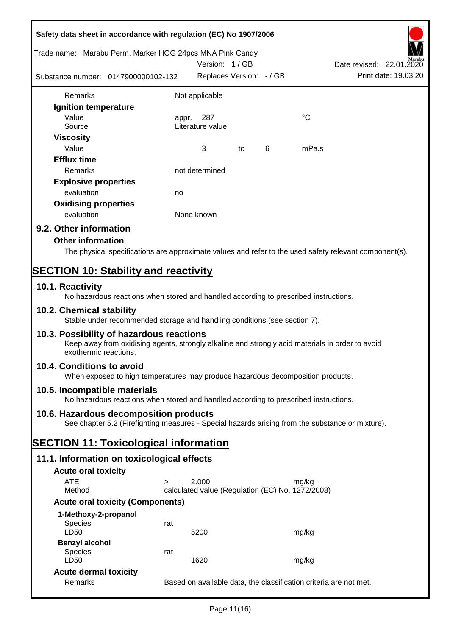| Safety data sheet in accordance with regulation (EC) No 1907/2006                                                                                                     |        |                                                  |   |                                                                                                        |
|-----------------------------------------------------------------------------------------------------------------------------------------------------------------------|--------|--------------------------------------------------|---|--------------------------------------------------------------------------------------------------------|
| Trade name: Marabu Perm. Marker HOG 24pcs MNA Pink Candy                                                                                                              |        | Version: 1/GB                                    |   | Date revised: 22.01.2020                                                                               |
| Substance number: 0147900000102-132                                                                                                                                   |        | Replaces Version: - / GB                         |   | Print date: 19.03.20                                                                                   |
| Remarks                                                                                                                                                               |        | Not applicable                                   |   |                                                                                                        |
| Ignition temperature                                                                                                                                                  |        |                                                  |   |                                                                                                        |
| Value<br>Source                                                                                                                                                       | appr.  | 287<br>Literature value                          |   | °C                                                                                                     |
| <b>Viscosity</b><br>Value                                                                                                                                             |        | 3<br>to                                          | 6 | mPa.s                                                                                                  |
| <b>Efflux time</b><br>Remarks                                                                                                                                         |        | not determined                                   |   |                                                                                                        |
|                                                                                                                                                                       |        |                                                  |   |                                                                                                        |
| <b>Explosive properties</b><br>evaluation                                                                                                                             |        |                                                  |   |                                                                                                        |
|                                                                                                                                                                       | no     |                                                  |   |                                                                                                        |
| <b>Oxidising properties</b><br>evaluation                                                                                                                             |        | None known                                       |   |                                                                                                        |
|                                                                                                                                                                       |        |                                                  |   |                                                                                                        |
| 9.2. Other information                                                                                                                                                |        |                                                  |   |                                                                                                        |
| <b>Other information</b>                                                                                                                                              |        |                                                  |   |                                                                                                        |
|                                                                                                                                                                       |        |                                                  |   | The physical specifications are approximate values and refer to the used safety relevant component(s). |
| <b>SECTION 10: Stability and reactivity</b>                                                                                                                           |        |                                                  |   |                                                                                                        |
| 10.1. Reactivity<br>No hazardous reactions when stored and handled according to prescribed instructions.                                                              |        |                                                  |   |                                                                                                        |
| 10.2. Chemical stability<br>Stable under recommended storage and handling conditions (see section 7).                                                                 |        |                                                  |   |                                                                                                        |
| 10.3. Possibility of hazardous reactions<br>Keep away from oxidising agents, strongly alkaline and strongly acid materials in order to avoid<br>exothermic reactions. |        |                                                  |   |                                                                                                        |
| 10.4. Conditions to avoid<br>When exposed to high temperatures may produce hazardous decomposition products.                                                          |        |                                                  |   |                                                                                                        |
| 10.5. Incompatible materials<br>No hazardous reactions when stored and handled according to prescribed instructions.                                                  |        |                                                  |   |                                                                                                        |
| 10.6. Hazardous decomposition products<br>See chapter 5.2 (Firefighting measures - Special hazards arising from the substance or mixture).                            |        |                                                  |   |                                                                                                        |
| <b>SECTION 11: Toxicological information</b>                                                                                                                          |        |                                                  |   |                                                                                                        |
| 11.1. Information on toxicological effects                                                                                                                            |        |                                                  |   |                                                                                                        |
|                                                                                                                                                                       |        |                                                  |   |                                                                                                        |
| <b>Acute oral toxicity</b><br><b>ATE</b>                                                                                                                              | $\geq$ | 2.000                                            |   | mg/kg                                                                                                  |
| Method                                                                                                                                                                |        | calculated value (Regulation (EC) No. 1272/2008) |   |                                                                                                        |
| <b>Acute oral toxicity (Components)</b>                                                                                                                               |        |                                                  |   |                                                                                                        |
| 1-Methoxy-2-propanol                                                                                                                                                  |        |                                                  |   |                                                                                                        |
| <b>Species</b><br>LD50                                                                                                                                                | rat    | 5200                                             |   | mg/kg                                                                                                  |
| <b>Benzyl alcohol</b>                                                                                                                                                 |        |                                                  |   |                                                                                                        |
| <b>Species</b><br>LD50                                                                                                                                                | rat    | 1620                                             |   | mg/kg                                                                                                  |
| <b>Acute dermal toxicity</b>                                                                                                                                          |        |                                                  |   |                                                                                                        |
| Remarks                                                                                                                                                               |        |                                                  |   | Based on available data, the classification criteria are not met.                                      |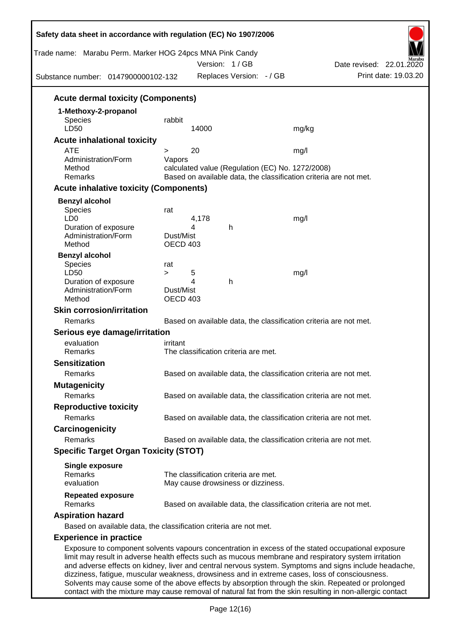| Trade name: Marabu Perm. Marker HOG 24pcs MNA Pink Candy<br>Substance number: 0147900000102-132                                                                                                            |                       |       | Version: 1/GB<br>Replaces Version: - / GB |                                                                   | Date revised: 22.01.2020<br>Print date: 19.03.20                                                      |
|------------------------------------------------------------------------------------------------------------------------------------------------------------------------------------------------------------|-----------------------|-------|-------------------------------------------|-------------------------------------------------------------------|-------------------------------------------------------------------------------------------------------|
| <b>Acute dermal toxicity (Components)</b>                                                                                                                                                                  |                       |       |                                           |                                                                   |                                                                                                       |
| 1-Methoxy-2-propanol                                                                                                                                                                                       |                       |       |                                           |                                                                   |                                                                                                       |
| <b>Species</b>                                                                                                                                                                                             | rabbit                |       |                                           |                                                                   |                                                                                                       |
| LD50                                                                                                                                                                                                       |                       | 14000 |                                           | mg/kg                                                             |                                                                                                       |
| <b>Acute inhalational toxicity</b>                                                                                                                                                                         |                       |       |                                           |                                                                   |                                                                                                       |
| <b>ATE</b>                                                                                                                                                                                                 | $\geq$                | 20    |                                           | mg/l                                                              |                                                                                                       |
| Administration/Form                                                                                                                                                                                        | Vapors                |       |                                           |                                                                   |                                                                                                       |
| Method                                                                                                                                                                                                     |                       |       |                                           | calculated value (Regulation (EC) No. 1272/2008)                  |                                                                                                       |
| Remarks                                                                                                                                                                                                    |                       |       |                                           | Based on available data, the classification criteria are not met. |                                                                                                       |
| <b>Acute inhalative toxicity (Components)</b>                                                                                                                                                              |                       |       |                                           |                                                                   |                                                                                                       |
| <b>Benzyl alcohol</b>                                                                                                                                                                                      |                       |       |                                           |                                                                   |                                                                                                       |
| Species                                                                                                                                                                                                    | rat                   |       |                                           |                                                                   |                                                                                                       |
| LD <sub>0</sub>                                                                                                                                                                                            |                       | 4,178 |                                           | mg/l                                                              |                                                                                                       |
| Duration of exposure                                                                                                                                                                                       |                       | 4     | h                                         |                                                                   |                                                                                                       |
| Administration/Form<br>Method                                                                                                                                                                              | Dust/Mist<br>OECD 403 |       |                                           |                                                                   |                                                                                                       |
|                                                                                                                                                                                                            |                       |       |                                           |                                                                   |                                                                                                       |
| <b>Benzyl alcohol</b>                                                                                                                                                                                      |                       |       |                                           |                                                                   |                                                                                                       |
| Species<br>LD50                                                                                                                                                                                            | rat<br>$\geq$         | 5     |                                           | mg/l                                                              |                                                                                                       |
| Duration of exposure                                                                                                                                                                                       |                       | 4     | h                                         |                                                                   |                                                                                                       |
| Administration/Form                                                                                                                                                                                        | Dust/Mist             |       |                                           |                                                                   |                                                                                                       |
| Method                                                                                                                                                                                                     | OECD 403              |       |                                           |                                                                   |                                                                                                       |
| <b>Skin corrosion/irritation</b>                                                                                                                                                                           |                       |       |                                           |                                                                   |                                                                                                       |
| Remarks                                                                                                                                                                                                    |                       |       |                                           | Based on available data, the classification criteria are not met. |                                                                                                       |
| Serious eye damage/irritation                                                                                                                                                                              |                       |       |                                           |                                                                   |                                                                                                       |
| evaluation                                                                                                                                                                                                 | irritant              |       |                                           |                                                                   |                                                                                                       |
| Remarks                                                                                                                                                                                                    |                       |       | The classification criteria are met.      |                                                                   |                                                                                                       |
| <b>Sensitization</b>                                                                                                                                                                                       |                       |       |                                           |                                                                   |                                                                                                       |
| Remarks                                                                                                                                                                                                    |                       |       |                                           | Based on available data, the classification criteria are not met. |                                                                                                       |
|                                                                                                                                                                                                            |                       |       |                                           |                                                                   |                                                                                                       |
| <b>Mutagenicity</b>                                                                                                                                                                                        |                       |       |                                           |                                                                   |                                                                                                       |
| Remarks                                                                                                                                                                                                    |                       |       |                                           | Based on available data, the classification criteria are not met. |                                                                                                       |
| <b>Reproductive toxicity</b>                                                                                                                                                                               |                       |       |                                           |                                                                   |                                                                                                       |
| Remarks                                                                                                                                                                                                    |                       |       |                                           | Based on available data, the classification criteria are not met. |                                                                                                       |
| Carcinogenicity                                                                                                                                                                                            |                       |       |                                           |                                                                   |                                                                                                       |
| Remarks                                                                                                                                                                                                    |                       |       |                                           | Based on available data, the classification criteria are not met. |                                                                                                       |
| <b>Specific Target Organ Toxicity (STOT)</b>                                                                                                                                                               |                       |       |                                           |                                                                   |                                                                                                       |
|                                                                                                                                                                                                            |                       |       |                                           |                                                                   |                                                                                                       |
| <b>Single exposure</b><br>Remarks                                                                                                                                                                          |                       |       | The classification criteria are met.      |                                                                   |                                                                                                       |
| evaluation                                                                                                                                                                                                 |                       |       | May cause drowsiness or dizziness.        |                                                                   |                                                                                                       |
|                                                                                                                                                                                                            |                       |       |                                           |                                                                   |                                                                                                       |
| <b>Repeated exposure</b><br>Remarks                                                                                                                                                                        |                       |       |                                           |                                                                   |                                                                                                       |
|                                                                                                                                                                                                            |                       |       |                                           | Based on available data, the classification criteria are not met. |                                                                                                       |
| <b>Aspiration hazard</b>                                                                                                                                                                                   |                       |       |                                           |                                                                   |                                                                                                       |
| Based on available data, the classification criteria are not met.                                                                                                                                          |                       |       |                                           |                                                                   |                                                                                                       |
| <b>Experience in practice</b>                                                                                                                                                                              |                       |       |                                           |                                                                   |                                                                                                       |
| Exposure to component solvents vapours concentration in excess of the stated occupational exposure<br>limit may result in adverse health effects such as mucous membrane and respiratory system irritation |                       |       |                                           |                                                                   | and adverse effects on kidney, liver and central nervous system. Symptoms and signs include headache, |

dizziness, fatigue, muscular weakness, drowsiness and in extreme cases, loss of consciousness. Solvents may cause some of the above effects by absorption through the skin. Repeated or prolonged contact with the mixture may cause removal of natural fat from the skin resulting in non-allergic contact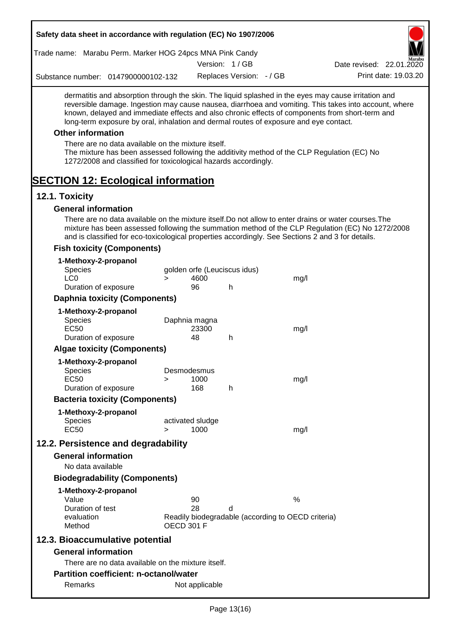| Trade name: Marabu Perm. Marker HOG 24pcs MNA Pink Candy               |                                                                                                                                                                                                                      |                            |                              |                                                    |                                                                                                                                                                                                                                                                                                                  |
|------------------------------------------------------------------------|----------------------------------------------------------------------------------------------------------------------------------------------------------------------------------------------------------------------|----------------------------|------------------------------|----------------------------------------------------|------------------------------------------------------------------------------------------------------------------------------------------------------------------------------------------------------------------------------------------------------------------------------------------------------------------|
|                                                                        |                                                                                                                                                                                                                      |                            | Version: 1/GB                |                                                    | Date revised: 22.01.2020                                                                                                                                                                                                                                                                                         |
| Substance number: 0147900000102-132                                    |                                                                                                                                                                                                                      |                            | Replaces Version: - / GB     |                                                    | Print date: 19.03.20                                                                                                                                                                                                                                                                                             |
|                                                                        | long-term exposure by oral, inhalation and dermal routes of exposure and eye contact.                                                                                                                                |                            |                              |                                                    | dermatitis and absorption through the skin. The liquid splashed in the eyes may cause irritation and<br>reversible damage. Ingestion may cause nausea, diarrhoea and vomiting. This takes into account, where<br>known, delayed and immediate effects and also chronic effects of components from short-term and |
| <b>Other information</b>                                               |                                                                                                                                                                                                                      |                            |                              |                                                    |                                                                                                                                                                                                                                                                                                                  |
|                                                                        | There are no data available on the mixture itself.<br>The mixture has been assessed following the additivity method of the CLP Regulation (EC) No<br>1272/2008 and classified for toxicological hazards accordingly. |                            |                              |                                                    |                                                                                                                                                                                                                                                                                                                  |
| <b>SECTION 12: Ecological information</b>                              |                                                                                                                                                                                                                      |                            |                              |                                                    |                                                                                                                                                                                                                                                                                                                  |
| 12.1. Toxicity                                                         |                                                                                                                                                                                                                      |                            |                              |                                                    |                                                                                                                                                                                                                                                                                                                  |
| <b>General information</b>                                             |                                                                                                                                                                                                                      |                            |                              |                                                    |                                                                                                                                                                                                                                                                                                                  |
|                                                                        | and is classified for eco-toxicological properties accordingly. See Sections 2 and 3 for details.                                                                                                                    |                            |                              |                                                    | There are no data available on the mixture itself. Do not allow to enter drains or water courses. The<br>mixture has been assessed following the summation method of the CLP Regulation (EC) No 1272/2008                                                                                                        |
| <b>Fish toxicity (Components)</b>                                      |                                                                                                                                                                                                                      |                            |                              |                                                    |                                                                                                                                                                                                                                                                                                                  |
| 1-Methoxy-2-propanol<br>Species<br>LC <sub>0</sub>                     | $\geq$                                                                                                                                                                                                               | 4600                       | golden orfe (Leuciscus idus) | mg/l                                               |                                                                                                                                                                                                                                                                                                                  |
| Duration of exposure                                                   |                                                                                                                                                                                                                      | 96                         | h                            |                                                    |                                                                                                                                                                                                                                                                                                                  |
| <b>Daphnia toxicity (Components)</b>                                   |                                                                                                                                                                                                                      |                            |                              |                                                    |                                                                                                                                                                                                                                                                                                                  |
| 1-Methoxy-2-propanol<br>Species<br><b>EC50</b>                         |                                                                                                                                                                                                                      | Daphnia magna<br>23300     |                              | mg/l                                               |                                                                                                                                                                                                                                                                                                                  |
| Duration of exposure                                                   |                                                                                                                                                                                                                      | 48                         | $\mathsf{h}$                 |                                                    |                                                                                                                                                                                                                                                                                                                  |
| <b>Algae toxicity (Components)</b>                                     |                                                                                                                                                                                                                      |                            |                              |                                                    |                                                                                                                                                                                                                                                                                                                  |
| 1-Methoxy-2-propanol<br>Species<br><b>EC50</b><br>Duration of exposure | >                                                                                                                                                                                                                    | Desmodesmus<br>1000<br>168 | h                            | mg/l                                               |                                                                                                                                                                                                                                                                                                                  |
| <b>Bacteria toxicity (Components)</b>                                  |                                                                                                                                                                                                                      |                            |                              |                                                    |                                                                                                                                                                                                                                                                                                                  |
|                                                                        |                                                                                                                                                                                                                      |                            |                              |                                                    |                                                                                                                                                                                                                                                                                                                  |
| 1-Methoxy-2-propanol<br><b>Species</b><br><b>EC50</b>                  | $\geq$                                                                                                                                                                                                               | activated sludge<br>1000   |                              | mg/l                                               |                                                                                                                                                                                                                                                                                                                  |
| 12.2. Persistence and degradability                                    |                                                                                                                                                                                                                      |                            |                              |                                                    |                                                                                                                                                                                                                                                                                                                  |
| <b>General information</b>                                             |                                                                                                                                                                                                                      |                            |                              |                                                    |                                                                                                                                                                                                                                                                                                                  |
| No data available                                                      |                                                                                                                                                                                                                      |                            |                              |                                                    |                                                                                                                                                                                                                                                                                                                  |
| <b>Biodegradability (Components)</b>                                   |                                                                                                                                                                                                                      |                            |                              |                                                    |                                                                                                                                                                                                                                                                                                                  |
| 1-Methoxy-2-propanol<br>Value                                          |                                                                                                                                                                                                                      | 90                         |                              | %                                                  |                                                                                                                                                                                                                                                                                                                  |
| Duration of test<br>evaluation<br>Method                               | <b>OECD 301 F</b>                                                                                                                                                                                                    | 28                         | d                            | Readily biodegradable (according to OECD criteria) |                                                                                                                                                                                                                                                                                                                  |
| 12.3. Bioaccumulative potential                                        |                                                                                                                                                                                                                      |                            |                              |                                                    |                                                                                                                                                                                                                                                                                                                  |
| <b>General information</b>                                             |                                                                                                                                                                                                                      |                            |                              |                                                    |                                                                                                                                                                                                                                                                                                                  |
|                                                                        | There are no data available on the mixture itself.                                                                                                                                                                   |                            |                              |                                                    |                                                                                                                                                                                                                                                                                                                  |
|                                                                        | <b>Partition coefficient: n-octanol/water</b>                                                                                                                                                                        |                            |                              |                                                    |                                                                                                                                                                                                                                                                                                                  |
| Remarks                                                                |                                                                                                                                                                                                                      | Not applicable             |                              |                                                    |                                                                                                                                                                                                                                                                                                                  |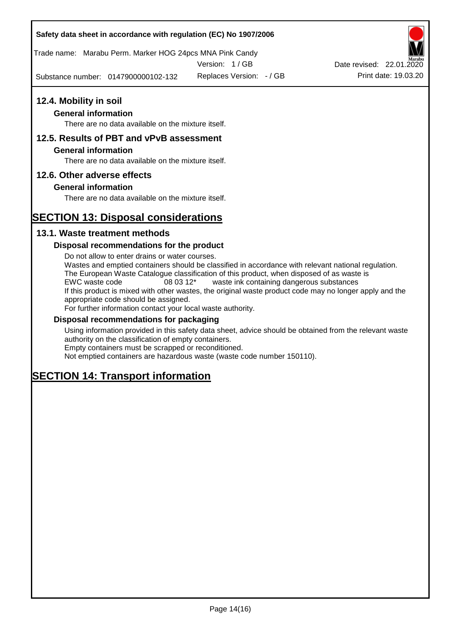Trade name: Marabu Perm. Marker HOG 24pcs MNA Pink Candy

Version: 1 / GB

Substance number: 0147900000102-132 Replaces Version:  $-$  / GB Print date: 19.03.20



#### **General information**

There are no data available on the mixture itself.

## **12.5. Results of PBT and vPvB assessment**

#### **General information**

There are no data available on the mixture itself.

#### **12.6. Other adverse effects**

#### **General information**

There are no data available on the mixture itself.

# **SECTION 13: Disposal considerations**

## **13.1. Waste treatment methods**

#### **Disposal recommendations for the product**

Do not allow to enter drains or water courses. Wastes and emptied containers should be classified in accordance with relevant national regulation. The European Waste Catalogue classification of this product, when disposed of as waste is EWC waste code 08 03 12\* waste ink containing dangerous substances If this product is mixed with other wastes, the original waste product code may no longer apply and the appropriate code should be assigned. For further information contact your local waste authority.

#### **Disposal recommendations for packaging**

Using information provided in this safety data sheet, advice should be obtained from the relevant waste authority on the classification of empty containers. Empty containers must be scrapped or reconditioned.

Not emptied containers are hazardous waste (waste code number 150110).

# **SECTION 14: Transport information**

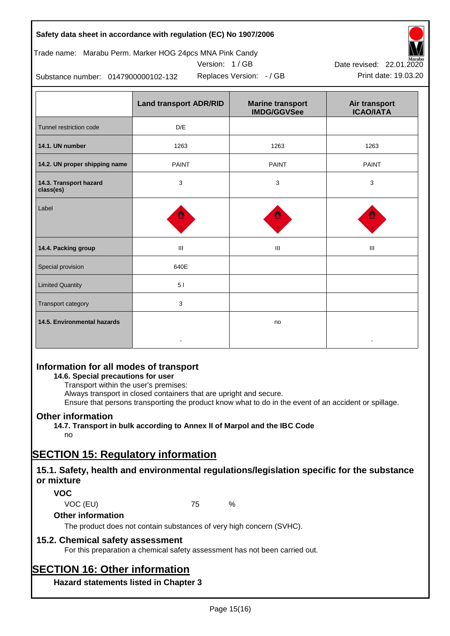## Trade name: Marabu Perm. Marker HOG 24pcs MNA Pink Candy

Version: 1 / GB



Replaces Version:  $-$  / GB Print date: 19.03.20 Date revised: 22.01.2020

Substance number: 0147900000102-132

|                                     | <b>Land transport ADR/RID</b> | <b>Marine transport</b><br><b>IMDG/GGVSee</b> | Air transport<br><b>ICAO/IATA</b> |
|-------------------------------------|-------------------------------|-----------------------------------------------|-----------------------------------|
| Tunnel restriction code             | D/E                           |                                               |                                   |
| 14.1. UN number                     | 1263                          | 1263                                          | 1263                              |
| 14.2. UN proper shipping name       | <b>PAINT</b>                  | <b>PAINT</b>                                  | <b>PAINT</b>                      |
| 14.3. Transport hazard<br>class(es) | 3                             | 3                                             | 3                                 |
| Label                               |                               |                                               |                                   |
| 14.4. Packing group                 | Ш                             | Ш                                             | Ш                                 |
| Special provision                   | 640E                          |                                               |                                   |
| <b>Limited Quantity</b>             | 51                            |                                               |                                   |
| Transport category                  | 3                             |                                               |                                   |
| 14.5. Environmental hazards         |                               | no                                            |                                   |

## **Information for all modes of transport**

**14.6. Special precautions for user**

Transport within the user's premises:

Always transport in closed containers that are upright and secure.

Ensure that persons transporting the product know what to do in the event of an accident or spillage.

## **Other information**

**14.7. Transport in bulk according to Annex II of Marpol and the IBC Code** no

# **SECTION 15: Regulatory information**

## **15.1. Safety, health and environmental regulations/legislation specific for the substance or mixture**

## **VOC**

VOC (EU) 75 %

**Other information**

The product does not contain substances of very high concern (SVHC).

## **15.2. Chemical safety assessment**

For this preparation a chemical safety assessment has not been carried out.

# **SECTION 16: Other information**

**Hazard statements listed in Chapter 3**